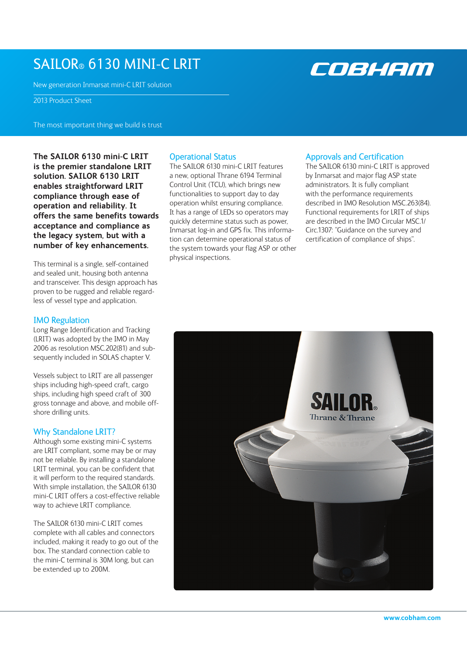# sailor® 6130 mini-C LRIT

New generation Inmarsat mini-C LRIT solution

2013 Product Sheet

The most important thing we build is trust

**The SAILOR 6130 mini-C LRIT is the premier standalone LRIT solution. SAILOR 6130 LRIT enables straightforward LRIT compliance through ease of operation and reliability. It offers the same benefits towards acceptance and compliance as the legacy system, but with a number of key enhancements.** 

This terminal is a single, self-contained and sealed unit, housing both antenna and transceiver. This design approach has proven to be rugged and reliable regardless of vessel type and application.

## IMO Regulation

Long Range Identification and Tracking (LRIT) was adopted by the IMO in May 2006 as resolution MSC.202(81) and subsequently included in SOLAS chapter V.

Vessels subject to LRIT are all passenger ships including high-speed craft, cargo ships, including high speed craft of 300 gross tonnage and above, and mobile offshore drilling units.

## Why Standalone LRIT?

Although some existing mini-C systems are LRIT compliant, some may be or may not be reliable. By installing a standalone LRIT terminal, you can be confident that it will perform to the required standards. With simple installation, the SAILOR 6130 mini-C LRIT offers a cost-effective reliable way to achieve LRIT compliance.

The SAILOR 6130 mini-C LRIT comes complete with all cables and connectors included, making it ready to go out of the box. The standard connection cable to the mini-C terminal is 30M long, but can be extended up to 200M.

## Operational Status

The SAILOR 6130 mini-C LRIT features a new, optional Thrane 6194 Terminal Control Unit (TCU), which brings new functionalities to support day to day operation whilst ensuring compliance. It has a range of LEDs so operators may quickly determine status such as power, Inmarsat log-in and GPS fix. This information can determine operational status of the system towards your flag ASP or other physical inspections.

## Approvals and Certification

The SAILOR 6130 mini-C LRIT is approved by Inmarsat and major flag ASP state administrators. It is fully compliant with the performance requirements described in IMO Resolution MSC.263(84). Functional requirements for LRIT of ships are described in the IMO Circular MSC.1/ Circ.1307: "Guidance on the survey and certification of compliance of ships".